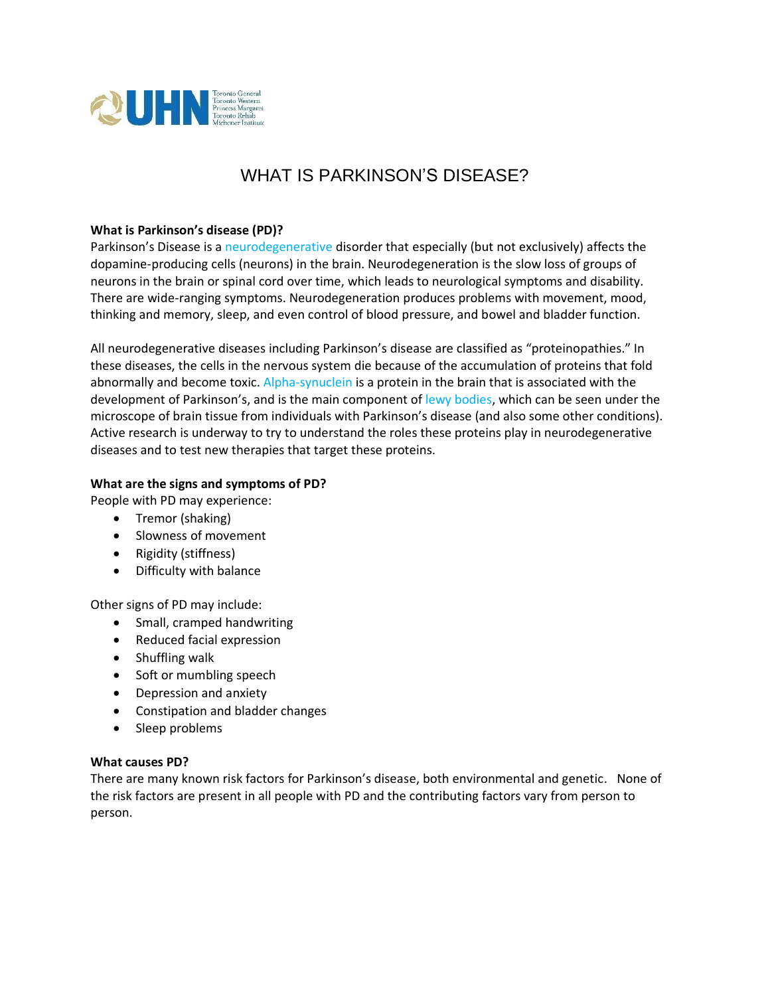

# WHAT IS PARKINSON'S DISEASE?

## **What is Parkinson's disease (PD)?**

Parkinson's Disease is a neurodegenerative disorder that especially (but not exclusively) affects the dopamine-producing cells (neurons) in the brain. Neurodegeneration is the slow loss of groups of neurons in the brain or spinal cord over time, which leads to neurological symptoms and disability. There are wide-ranging symptoms. Neurodegeneration produces problems with movement, mood, thinking and memory, sleep, and even control of blood pressure, and bowel and bladder function.

All neurodegenerative diseases including Parkinson's disease are classified as "proteinopathies." In these diseases, the cells in the nervous system die because of the accumulation of proteins that fold abnormally and become toxic. Alpha-synuclein is a protein in the brain that is associated with the development of Parkinson's, and is the main component of lewy bodies, which can be seen under the microscope of brain tissue from individuals with Parkinson's disease (and also some other conditions). Active research is underway to try to understand the roles these proteins play in neurodegenerative diseases and to test new therapies that target these proteins.

## **What are the signs and symptoms of PD?**

People with PD may experience:

- Tremor (shaking)
- Slowness of movement
- Rigidity (stiffness)
- Difficulty with balance

Other signs of PD may include:

- Small, cramped handwriting
- Reduced facial expression
- Shuffling walk
- Soft or mumbling speech
- Depression and anxiety
- Constipation and bladder changes
- Sleep problems

#### **What causes PD?**

There are many known risk factors for Parkinson's disease, both environmental and genetic. None of the risk factors are present in all people with PD and the contributing factors vary from person to person.